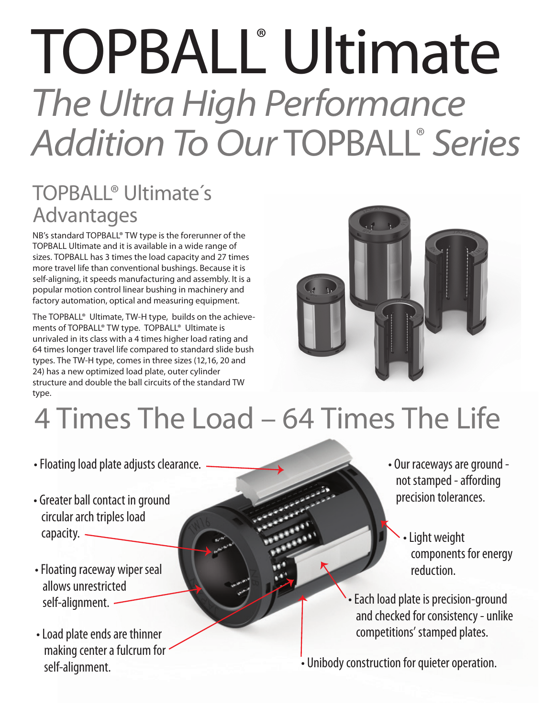# TOPBALL<sup>®</sup> Ultimate *The Ultra High Performance Addition To Our* TOPBALL®  *Series*

### TOPBALL® Ultimate´s Advantages

NB's standard TOPBALL® TW type is the forerunner of the TOPBALL Ultimate and it is available in a wide range of sizes. TOPBALL has 3 times the load capacity and 27 times more travel life than conventional bushings. Because it is self-aligning, it speeds manufacturing and assembly. It is a popular motion control linear bushing in machinery and factory automation, optical and measuring equipment.

The TOPBALL® Ultimate, TW-H type, builds on the achievements of TOPBALL® TW type. TOPBALL® Ultimate is unrivaled in its class with a 4 times higher load rating and 64 times longer travel life compared to standard slide bush types. The TW-H type, comes in three sizes (12,16, 20 and 24) has a new optimized load plate, outer cylinder structure and double the ball circuits of the standard TW type.



## 4 Times The Load – 64 Times The Life

- Floating load plate adjusts clearance.
- Greater ball contact in ground circular arch triples load  $capacity.$   $\rightarrow$
- Floating raceway wiper seal allows unrestricted self-alignment. -
- Load plate ends are thinner making center a fulcrum for
- Our raceways are ground not stamped - affording precision tolerances.
	- Light weight components for energy reduction.
- Each load plate is precision-ground and checked for consistency - unlike competitions' stamped plates.
- self-alignment.  **Unibody construction for quieter operation.**